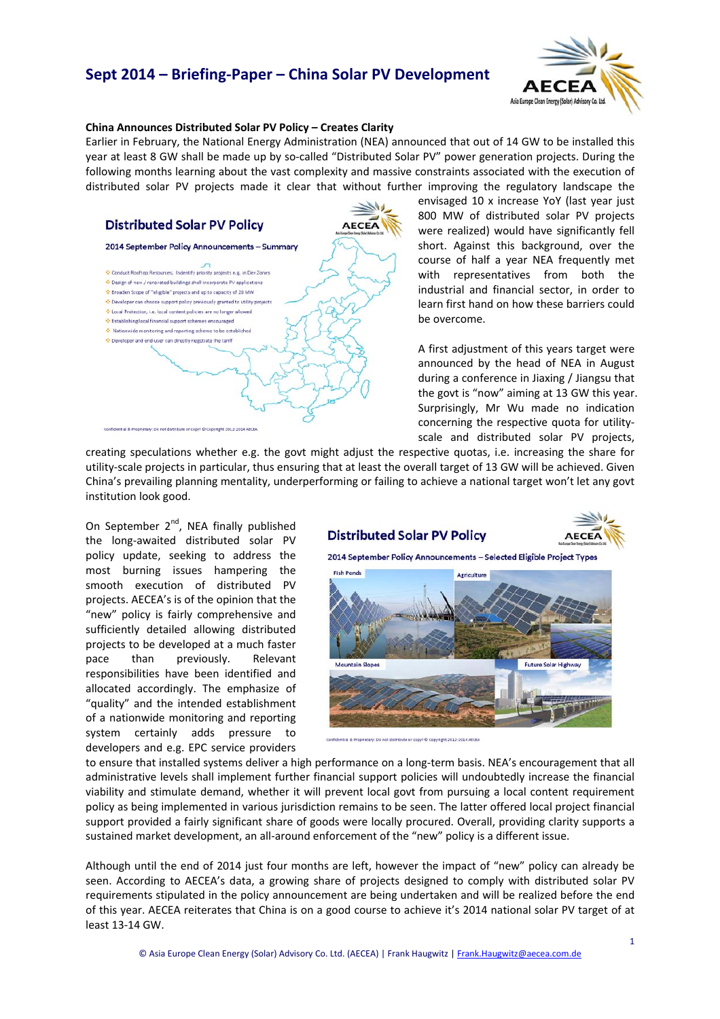# **Sept 2014 – Briefing‐Paper – China Solar PV Development**



#### **China Announces Distributed Solar PV Policy – Creates Clarity**

Earlier in February, the National Energy Administration (NEA) announced that out of 14 GW to be installed this year at least 8 GW shall be made up by so-called "Distributed Solar PV" power generation projects. During the following months learning about the vast complexity and massive constraints associated with the execution of distributed solar PV projects made it clear that without further improving the regulatory landscape the



envisaged 10 x increase YoY (last year just 800 MW of distributed solar PV projects were realized) would have significantly fell short. Against this background, over the course of half a year NEA frequently met with representatives from both the industrial and financial sector, in order to learn first hand on how these barriers could be overcome.

A first adjustment of this years target were announced by the head of NEA in August during a conference in Jiaxing / Jiangsu that the govt is "now" aiming at 13 GW this year. Surprisingly, Mr Wu made no indication concerning the respective quota for utility‐ scale and distributed solar PV projects,

creating speculations whether e.g. the govt might adjust the respective quotas, i.e. increasing the share for utility‐scale projects in particular, thus ensuring that at least the overall target of 13 GW will be achieved. Given China's prevailing planning mentality, underperforming or failing to achieve a national target won't let any govt institution look good.

On September  $2^{nd}$ , NEA finally published the long‐awaited distributed solar PV policy update, seeking to address the most burning issues hampering the smooth execution of distributed PV projects. AECEA's is of the opinion that the "new" policy is fairly comprehensive and sufficiently detailed allowing distributed projects to be developed at a much faster pace than previously. Relevant responsibilities have been identified and allocated accordingly. The emphasize of "quality" and the intended establishment of a nationwide monitoring and reporting system certainly adds pressure to developers and e.g. EPC service providers

### **Distributed Solar PV Policy**



2014 September Policy Announcements - Selected Eligible Project Types



Confidential & Reported and Constitutions or const. D. Constitute 2012-2014 AFCEA

to ensure that installed systems deliver a high performance on a long-term basis. NEA's encouragement that all administrative levels shall implement further financial support policies will undoubtedly increase the financial viability and stimulate demand, whether it will prevent local govt from pursuing a local content requirement policy as being implemented in various jurisdiction remains to be seen. The latter offered local project financial support provided a fairly significant share of goods were locally procured. Overall, providing clarity supports a sustained market development, an all-around enforcement of the "new" policy is a different issue.

Although until the end of 2014 just four months are left, however the impact of "new" policy can already be seen. According to AECEA's data, a growing share of projects designed to comply with distributed solar PV requirements stipulated in the policy announcement are being undertaken and will be realized before the end of this year. AECEA reiterates that China is on a good course to achieve it's 2014 national solar PV target of at least 13‐14 GW.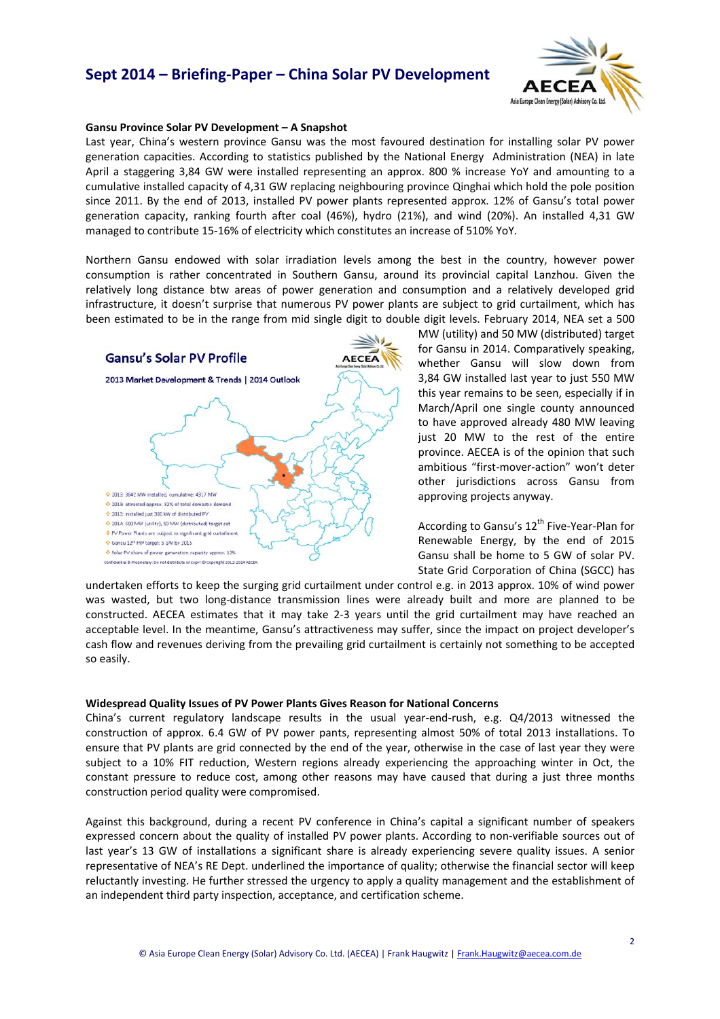## **Sept 2014 – Briefing‐Paper – China Solar PV Development**



#### **Gansu Province Solar PV Development – A Snapshot**

Last year, China's western province Gansu was the most favoured destination for installing solar PV power generation capacities. According to statistics published by the National Energy Administration (NEA) in late April a staggering 3,84 GW were installed representing an approx. 800 % increase YoY and amounting to a cumulative installed capacity of 4,31 GW replacing neighbouring province Qinghai which hold the pole position since 2011. By the end of 2013, installed PV power plants represented approx. 12% of Gansu's total power generation capacity, ranking fourth after coal (46%), hydro (21%), and wind (20%). An installed 4,31 GW managed to contribute 15‐16% of electricity which constitutes an increase of 510% YoY.

Northern Gansu endowed with solar irradiation levels among the best in the country, however power consumption is rather concentrated in Southern Gansu, around its provincial capital Lanzhou. Given the relatively long distance btw areas of power generation and consumption and a relatively developed grid infrastructure, it doesn't surprise that numerous PV power plants are subject to grid curtailment, which has been estimated to be in the range from mid single digit to double digit levels. February 2014, NEA set a 500



MW (utility) and 50 MW (distributed) target for Gansu in 2014. Comparatively speaking, whether Gansu will slow down from 3,84 GW installed last year to just 550 MW this year remains to be seen, especially if in March/April one single county announced to have approved already 480 MW leaving just 20 MW to the rest of the entire province. AECEA is of the opinion that such ambitious "first‐mover‐action" won't deter other jurisdictions across Gansu from approving projects anyway.

According to Gansu's 12<sup>th</sup> Five-Year-Plan for Renewable Energy, by the end of 2015 Gansu shall be home to 5 GW of solar PV. State Grid Corporation of China (SGCC) has

undertaken efforts to keep the surging grid curtailment under control e.g. in 2013 approx. 10% of wind power was wasted, but two long-distance transmission lines were already built and more are planned to be constructed. AECEA estimates that it may take 2‐3 years until the grid curtailment may have reached an acceptable level. In the meantime, Gansu's attractiveness may suffer, since the impact on project developer's cash flow and revenues deriving from the prevailing grid curtailment is certainly not something to be accepted so easily.

#### **Widespread Quality Issues of PV Power Plants Gives Reason for National Concerns**

China's current regulatory landscape results in the usual year-end-rush, e.g. Q4/2013 witnessed the construction of approx. 6.4 GW of PV power pants, representing almost 50% of total 2013 installations. To ensure that PV plants are grid connected by the end of the year, otherwise in the case of last year they were subject to a 10% FIT reduction, Western regions already experiencing the approaching winter in Oct, the constant pressure to reduce cost, among other reasons may have caused that during a just three months construction period quality were compromised.

Against this background, during a recent PV conference in China's capital a significant number of speakers expressed concern about the quality of installed PV power plants. According to non-verifiable sources out of last year's 13 GW of installations a significant share is already experiencing severe quality issues. A senior representative of NEA's RE Dept. underlined the importance of quality; otherwise the financial sector will keep reluctantly investing. He further stressed the urgency to apply a quality management and the establishment of an independent third party inspection, acceptance, and certification scheme.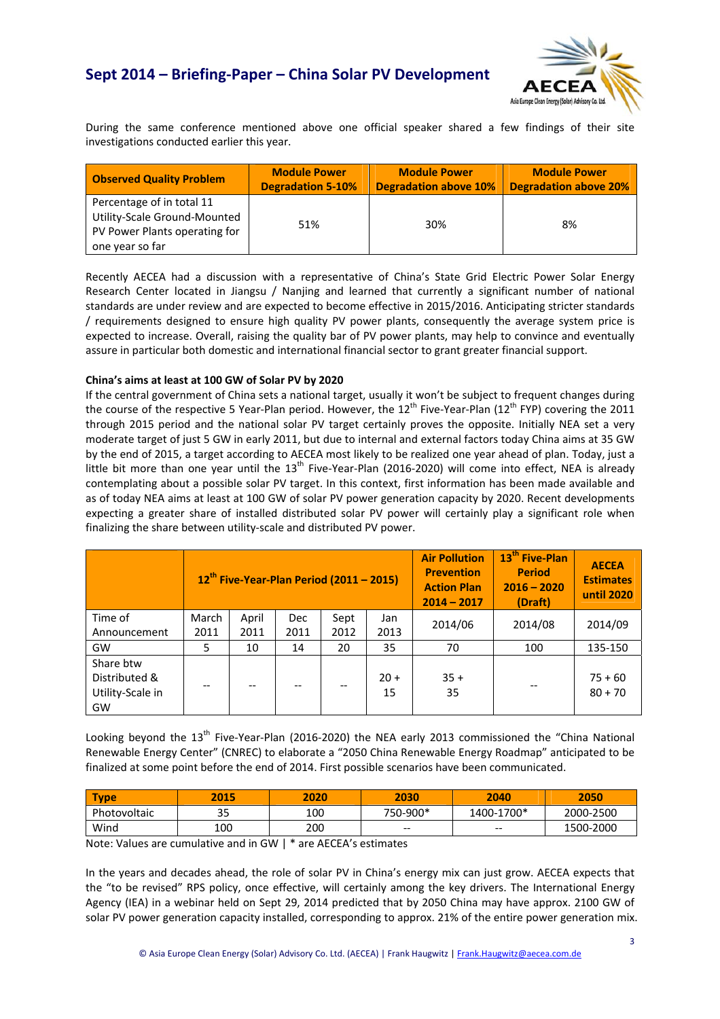

During the same conference mentioned above one official speaker shared a few findings of their site investigations conducted earlier this year.

| <b>Observed Quality Problem</b>                                                                               | <b>Module Power</b>      | <b>Module Power</b>          | <b>Module Power</b>          |  |
|---------------------------------------------------------------------------------------------------------------|--------------------------|------------------------------|------------------------------|--|
|                                                                                                               | <b>Degradation 5-10%</b> | <b>Degradation above 10%</b> | <b>Degradation above 20%</b> |  |
| Percentage of in total 11<br>Utility-Scale Ground-Mounted<br>PV Power Plants operating for<br>one year so far | 51%                      | 30%                          | 8%                           |  |

Recently AECEA had a discussion with a representative of China's State Grid Electric Power Solar Energy Research Center located in Jiangsu / Nanjing and learned that currently a significant number of national standards are under review and are expected to become effective in 2015/2016. Anticipating stricter standards / requirements designed to ensure high quality PV power plants, consequently the average system price is expected to increase. Overall, raising the quality bar of PV power plants, may help to convince and eventually assure in particular both domestic and international financial sector to grant greater financial support.

### **China's aims at least at 100 GW of Solar PV by 2020**

If the central government of China sets a national target, usually it won't be subject to frequent changes during the course of the respective 5 Year-Plan period. However, the  $12^{th}$  Five-Year-Plan ( $12^{th}$  FYP) covering the 2011 through 2015 period and the national solar PV target certainly proves the opposite. Initially NEA set a very moderate target of just 5 GW in early 2011, but due to internal and external factors today China aims at 35 GW by the end of 2015, a target according to AECEA most likely to be realized one year ahead of plan. Today, just a little bit more than one year until the  $13<sup>th</sup>$  Five-Year-Plan (2016-2020) will come into effect, NEA is already contemplating about a possible solar PV target. In this context, first information has been made available and as of today NEA aims at least at 100 GW of solar PV power generation capacity by 2020. Recent developments expecting a greater share of installed distributed solar PV power will certainly play a significant role when finalizing the share between utility‐scale and distributed PV power.

|                                                      | $12^{\text{th}}$ Five-Year-Plan Period (2011 – 2015) |       |            |      |              | <b>Air Pollution</b><br><b>Prevention</b><br><b>Action Plan</b><br>$2014 - 2017$ | 13 <sup>th</sup> Five-Plan<br><b>Period</b><br>$2016 - 2020$<br>(Draft) | <b>AECEA</b><br><b>Estimates</b><br>until 2020 |
|------------------------------------------------------|------------------------------------------------------|-------|------------|------|--------------|----------------------------------------------------------------------------------|-------------------------------------------------------------------------|------------------------------------------------|
| Time of                                              | March                                                | April | <b>Dec</b> | Sept | Jan          | 2014/06                                                                          | 2014/08                                                                 | 2014/09                                        |
| Announcement                                         | 2011                                                 | 2011  | 2011       | 2012 | 2013         |                                                                                  |                                                                         |                                                |
| GW                                                   | 5                                                    | 10    | 14         | 20   | 35           | 70                                                                               | 100                                                                     | 135-150                                        |
| Share btw<br>Distributed &<br>Utility-Scale in<br>GW | --                                                   |       | --         |      | $20 +$<br>15 | $35 +$<br>35                                                                     |                                                                         | $75 + 60$<br>$80 + 70$                         |

Looking beyond the 13<sup>th</sup> Five-Year-Plan (2016-2020) the NEA early 2013 commissioned the "China National Renewable Energy Center" (CNREC) to elaborate a "2050 China Renewable Energy Roadmap" anticipated to be finalized at some point before the end of 2014. First possible scenarios have been communicated.

| <b>Type</b>  | 2015      | 2020 | 2030     | 2040       | 2050      |
|--------------|-----------|------|----------|------------|-----------|
| Photovoltaic | っこ<br>ر ر | 100  | 750-900* | 1400-1700* | 2000-2500 |
| Wind         | 100       | 200  | $- -$    | $- -$      | 1500-2000 |

Note: Values are cumulative and in GW | \* are AECEA's estimates

In the years and decades ahead, the role of solar PV in China's energy mix can just grow. AECEA expects that the "to be revised" RPS policy, once effective, will certainly among the key drivers. The International Energy Agency (IEA) in a webinar held on Sept 29, 2014 predicted that by 2050 China may have approx. 2100 GW of solar PV power generation capacity installed, corresponding to approx. 21% of the entire power generation mix.